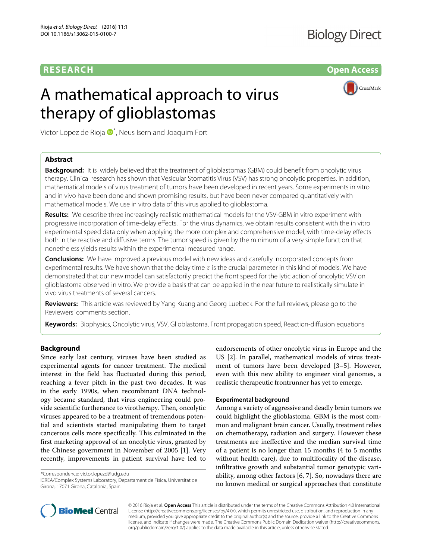**RESEARCH Open Access**

# A mathematical approach to virus therapy of glioblastomas



Victor Lopez de Rioja  $\bm{\mathsf{\Phi}}^*$  $\bm{\mathsf{\Phi}}^*$ , Neus Isern and Joaquim Fort

# **Abstract**

**Background:** It is widely believed that the treatment of glioblastomas (GBM) could benefit from oncolytic virus therapy. Clinical research has shown that Vesicular Stomatitis Virus (VSV) has strong oncolytic properties. In addition, mathematical models of virus treatment of tumors have been developed in recent years. Some experiments in vitro and in vivo have been done and shown promising results, but have been never compared quantitatively with mathematical models. We use in vitro data of this virus applied to glioblastoma.

**Results:** We describe three increasingly realistic mathematical models for the VSV-GBM in vitro experiment with progressive incorporation of time-delay effects. For the virus dynamics, we obtain results consistent with the in vitro experimental speed data only when applying the more complex and comprehensive model, with time-delay effects both in the reactive and diffusive terms. The tumor speed is given by the minimum of a very simple function that nonetheless yields results within the experimental measured range.

**Conclusions:** We have improved a previous model with new ideas and carefully incorporated concepts from experimental results. We have shown that the delay time  $\tau$  is the crucial parameter in this kind of models. We have demonstrated that our new model can satisfactorily predict the front speed for the lytic action of oncolytic VSV on glioblastoma observed in vitro. We provide a basis that can be applied in the near future to realistically simulate in vivo virus treatments of several cancers.

**Reviewers:** This article was reviewed by Yang Kuang and Georg Luebeck. For the full reviews, please go to the Reviewers' comments section.

**Keywords:** Biophysics, Oncolytic virus, VSV, Glioblastoma, Front propagation speed, Reaction-diffusion equations

# **Background**

Since early last century, viruses have been studied as experimental agents for cancer treatment. The medical interest in the field has fluctuated during this period, reaching a fever pitch in the past two decades. It was in the early 1990s, when recombinant DNA technology became standard, that virus engineering could provide scientific furtherance to virotherapy. Then, oncolytic viruses appeared to be a treatment of tremendous potential and scientists started manipulating them to target cancerous cells more specifically. This culminated in the first marketing approval of an oncolytic virus, granted by the Chinese government in November of 2005 [\[1\]](#page-10-0). Very recently, improvements in patient survival have led to

\*Correspondence: [victor.lopezd@udg.edu](mailto: victor.lopezd@udg.edu)

ICREA/Complex Systems Laboratory, Departament de Física, Universitat de Girona, 17071 Girona, Catalonia, Spain

endorsements of other oncolytic virus in Europe and the US [\[2\]](#page-10-1). In parallel, mathematical models of virus treatment of tumors have been developed [\[3–](#page-10-2)[5\]](#page-10-3). However, even with this new ability to engineer viral genomes, a realistic therapeutic frontrunner has yet to emerge.

# **Experimental background**

Among a variety of aggressive and deadly brain tumors we could highlight the glioblastoma. GBM is the most common and malignant brain cancer. Usually, treatment relies on chemotherapy, radiation and surgery. However these treatments are ineffective and the median survival time of a patient is no longer than 15 months (4 to 5 months without health care), due to multifocality of the disease, infiltrative growth and substantial tumor genotypic variability, among other factors [\[6,](#page-10-4) [7\]](#page-10-5). So, nowadays there are no known medical or surgical approaches that constitute



© 2016 Rioja et al. **Open Access** This article is distributed under the terms of the Creative Commons Attribution 4.0 International License [\(http://creativecommons.org/licenses/by/4.0/\)](http://creativecommons.org/licenses/by/4.0/), which permits unrestricted use, distribution, and reproduction in any medium, provided you give appropriate credit to the original author(s) and the source, provide a link to the Creative Commons license, and indicate if changes were made. The Creative Commons Public Domain Dedication waiver [\(http://creativecommons.](http://creativecommons.org/publicdomain/zero/1.0/) [org/publicdomain/zero/1.0/\)](http://creativecommons.org/publicdomain/zero/1.0/) applies to the data made available in this article, unless otherwise stated.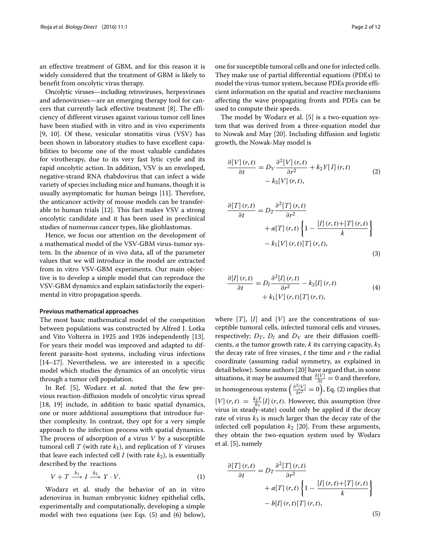an effective treatment of GBM, and for this reason it is widely considered that the treatment of GBM is likely to benefit from oncolytic virus therapy.

Oncolytic viruses—including retroviruses, herpesviruses and adenoviruses—are an emerging therapy tool for cancers that currently lack effective treatment [\[8\]](#page-10-6). The efficiency of different viruses against various tumor cell lines have been studied with in vitro and in vivo experiments [\[9,](#page-11-0) [10\]](#page-11-1). Of these, vesicular stomatitis virus (VSV) has been shown in laboratory studies to have excellent capabilities to become one of the most valuable candidates for virotherapy, due to its very fast lytic cycle and its rapid oncolytic action. In addition, VSV is an enveloped, negative-strand RNA rhabdovirus that can infect a wide variety of species including mice and humans, though it is usually asymptomatic for human beings [\[11\]](#page-11-2). Therefore, the anticancer activity of mouse models can be transferable to human trials [\[12\]](#page-11-3). This fact makes VSV a strong oncolytic candidate and it has been used in preclinical studies of numerous cancer types, like glioblastomas.

Hence, we focus our attention on the development of a mathematical model of the VSV-GBM virus-tumor system. In the absence of in vivo data, all of the parameter values that we will introduce in the model are extracted from in vitro VSV-GBM experiments. Our main objective is to develop a simple model that can reproduce the VSV-GBM dynamics and explain satisfactorily the experimental in vitro propagation speeds.

#### <span id="page-1-6"></span>**Previous mathematical approaches**

The most basic mathematical model of the competition between populations was constructed by Alfred J. Lotka and Vito Volterra in 1925 and 1926 independently [\[13\]](#page-11-4). For years their model was improved and adapted to different parasite-host systems, including virus infections [\[14](#page-11-5)[–17\]](#page-11-6). Nevertheless, we are interested in a specific model which studies the dynamics of an oncolytic virus through a tumor cell population.

In Ref. [\[5\]](#page-10-3), Wodarz et al. noted that the few previous reaction-diffusion models of oncolytic virus spread [\[18,](#page-11-7) [19\]](#page-11-8) include, in addition to basic spatial dynamics, one or more additional assumptions that introduce further complexity. In contrast, they opt for a very simple approach to the infection process with spatial dynamics. The process of adsorption of a virus *V* by a susceptible tumoral cell *T* (with rate  $k_1$ ), and replication of *Y* viruses that leave each infected cell  $I$  (with rate  $k_2$ ), is essentially described by the reactions

<span id="page-1-4"></span>
$$
V + T \xrightarrow{k_1} I \xrightarrow{k_2} Y \cdot V. \tag{1}
$$

Wodarz et al. study the behavior of an in vitro adenovirus in human embryonic kidney epithelial cells, experimentally and computationally, developing a simple model with two equations (see Eqs. [\(5\)](#page-1-0) and [\(6\)](#page-1-1) below), one for susceptible tumoral cells and one for infected cells. They make use of partial differential equations (PDEs) to model the virus-tumor system, because PDEs provide efficient information on the spatial and reactive mechanisms affecting the wave propagating fronts and PDEs can be used to compute their speeds.

The model by Wodarz et al. [\[5\]](#page-10-3) is a two-equation system that was derived from a three-equation model due to Nowak and May [\[20\]](#page-11-9). Including diffusion and logistic growth, the Nowak-May model is

<span id="page-1-2"></span>
$$
\frac{\partial [V] (r,t)}{\partial t} = D_V \frac{\partial^2 [V] (r,t)}{\partial r^2} + k_2 Y[I] (r,t) - k_3 [V] (r,t), \qquad (2)
$$

<span id="page-1-3"></span>
$$
\frac{\partial [T] (r,t)}{\partial t} = D_T \frac{\partial^2 [T] (r,t)}{\partial r^2} + a[T] (r,t) \left\{ 1 - \frac{[I] (r,t) + [T] (r,t)}{k} \right\} - k_1 [V] (r,t) [T] (r,t), \tag{3}
$$

<span id="page-1-5"></span>
$$
\frac{\partial [I](r,t)}{\partial t} = D_I \frac{\partial^2 [I](r,t)}{\partial r^2} - k_2 [I](r,t) + k_1 [V](r,t) [T](r,t),
$$
\n(4)

where  $[T]$ ,  $[I]$  and  $[V]$  are the concentrations of susceptible tumoral cells, infected tumoral cells and viruses, respectively;  $D_T$ ,  $D_I$  and  $D_V$  are their diffusion coefficients, *a* the tumor growth rate, *k* its carrying capacity,  $k_3$ the decay rate of free viruses, *t* the time and *r* the radial coordinate (assuming radial symmetry, as explained in detail below). Some authors [\[20\]](#page-11-9) have argued that, in some situations, it may be assumed that  $\frac{\partial [V]}{\partial t} = 0$  and therefore, in homogeneous systems  $\left(\frac{\partial^2 [V]}{\partial r^2}\right)=0\Big)$ , Eq. [\(2\)](#page-1-2) implies that  $[V](r, t) = \frac{k_2 Y}{k_3} [I](r, t)$ . However, this assumption (free virus in steady-state) could only be applied if the decay rate of virus  $k_3$  is much larger than the decay rate of the infected cell population  $k_2$  [\[20\]](#page-11-9). From these arguments, they obtain the two-equation system used by Wodarz et al. [\[5\]](#page-10-3), namely

<span id="page-1-1"></span><span id="page-1-0"></span>
$$
\frac{\partial [T] (r,t)}{\partial t} = D_T \frac{\partial^2 [T] (r,t)}{\partial r^2} + a[T] (r,t) \left\{ 1 - \frac{[I] (r,t) + [T] (r,t)}{k} \right\} - b[I] (r,t) [T] (r,t),
$$

(5)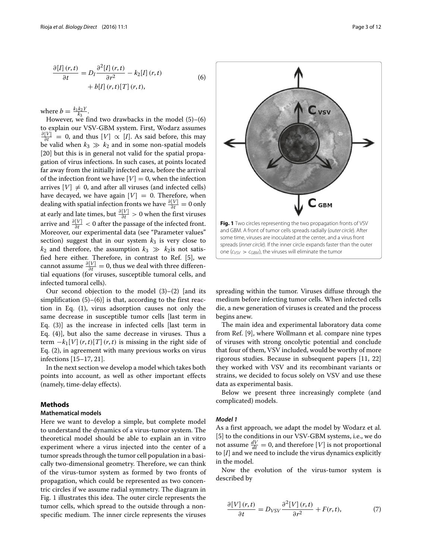$$
\frac{\partial [I](r,t)}{\partial t} = D_I \frac{\partial^2 [I](r,t)}{\partial r^2} - k_2 [I](r,t) + b[I](r,t)[T](r,t),
$$
\n(6)

where  $b = \frac{k_1 k_2 Y}{k_3}$ .

However, we find two drawbacks in the model [\(5\)](#page-1-0)–[\(6\)](#page-1-1) to explain our VSV-GBM system. First, Wodarz assumes  $\frac{\partial [V]}{\partial t}$  = 0, and thus [*V*]  $\propto$  [*I*]. As said before, this may be valid when  $k_3 \gg k_2$  and in some non-spatial models [\[20\]](#page-11-9) but this is in general not valid for the spatial propagation of virus infections. In such cases, at points located far away from the initially infected area, before the arrival of the infection front we have  $[V] = 0$ , when the infection arrives  $[V] \neq 0$ , and after all viruses (and infected cells) have decayed, we have again  $[V] = 0$ . Therefore, when dealing with spatial infection fronts we have  $\frac{\partial [V]}{\partial t} = 0$  only at early and late times, but  $\frac{\partial [V]}{\partial t} > 0$  when the first viruses arrive and  $\frac{\partial [V]}{\partial t} < 0$  after the passage of the infected front. Moreover, our experimental data (see ["Parameter values"](#page-5-0) section) suggest that in our system  $k_3$  is very close to  $k_2$  and therefore, the assumption  $k_3 \gg k_2$  is not satisfied here either. Therefore, in contrast to Ref. [\[5\]](#page-10-3), we cannot assume  $\frac{\partial [V]}{\partial t} = 0$ , thus we deal with three differential equations (for viruses, susceptible tumoral cells, and infected tumoral cells).

Our second objection to the model  $(3)$ – $(2)$  [and its simplification  $(5)$ – $(6)$ ] is that, according to the first reaction in Eq. [\(1\)](#page-1-4), virus adsorption causes not only the same decrease in susceptible tumor cells [last term in Eq. [\(3\)](#page-1-3)] as the increase in infected cells [last term in Eq. [\(4\)](#page-1-5)], but also the same decrease in viruses. Thus a term  $-k_1[V](r,t)[T](r,t)$  is missing in the right side of Eq. [\(2\)](#page-1-2), in agreement with many previous works on virus infections [\[15–](#page-11-10)[17,](#page-11-6) [21\]](#page-11-11).

In the next section we develop a model which takes both points into account, as well as other important effects (namely, time-delay effects).

# <span id="page-2-3"></span>**Methods**

#### **Mathematical models**

Here we want to develop a simple, but complete model to understand the dynamics of a virus-tumor system. The theoretical model should be able to explain an in vitro experiment where a virus injected into the center of a tumor spreads through the tumor cell population in a basically two-dimensional geometry. Therefore, we can think of the virus-tumor system as formed by two fronts of propagation, which could be represented as two concentric circles if we assume radial symmetry. The diagram in Fig. [1](#page-2-0) illustrates this idea. The outer circle represents the tumor cells, which spread to the outside through a nonspecific medium. The inner circle represents the viruses



<span id="page-2-0"></span>spreading within the tumor. Viruses diffuse through the medium before infecting tumor cells. When infected cells die, a new generation of viruses is created and the process begins anew.

The main idea and experimental laboratory data come from Ref. [\[9\]](#page-11-0), where Wollmann et al. compare nine types of viruses with strong oncolytic potential and conclude that four of them, VSV included, would be worthy of more rigorous studies. Because in subsequent papers [\[11,](#page-11-2) [22\]](#page-11-12) they worked with VSV and its recombinant variants or strains, we decided to focus solely on VSV and use these data as experimental basis.

Below we present three increasingly complete (and complicated) models.

#### *Model 1*

As a first approach, we adapt the model by Wodarz et al. [\[5\]](#page-10-3) to the conditions in our VSV-GBM systems, i.e., we do not assume  $\frac{dV}{dt} = 0$ , and therefore [V] is not proportional to [*I*] and we need to include the virus dynamics explicitly in the model.

Now the evolution of the virus-tumor system is described by

<span id="page-2-2"></span><span id="page-2-1"></span>
$$
\frac{\partial [V](r,t)}{\partial t} = D_{VSV} \frac{\partial^2 [V](r,t)}{\partial r^2} + F(r,t),\tag{7}
$$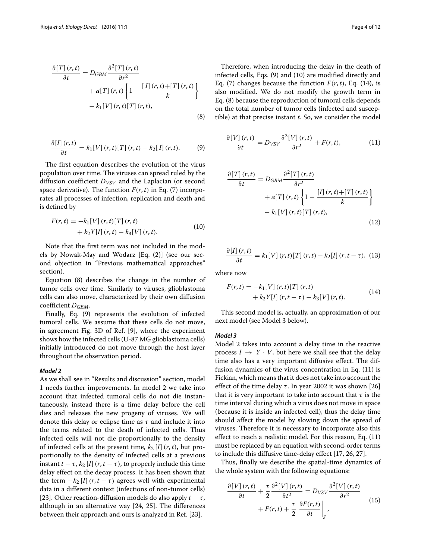$$
\frac{\partial [T] (r,t)}{\partial t} = D_{GBM} \frac{\partial^2 [T] (r,t)}{\partial r^2} + a[T] (r,t) \left\{ 1 - \frac{[I] (r,t) + [T] (r,t)}{k} \right\} - k_1 [V] (r,t) [T] (r,t),
$$
\n(8)

<span id="page-3-0"></span>
$$
\frac{\partial [I](r,t)}{\partial t} = k_1[V](r,t)[T](r,t) - k_2[I](r,t).
$$
 (9)

The first equation describes the evolution of the virus population over time. The viruses can spread ruled by the diffusion coefficient *DVSV* and the Laplacian (or second space derivative). The function  $F(r, t)$  in Eq. [\(7\)](#page-2-1) incorporates all processes of infection, replication and death and is defined by

<span id="page-3-1"></span>
$$
F(r,t) = -k_1[V](r,t)[T](r,t) + k_2 Y[I](r,t) - k_3[V](r,t).
$$
 (10)

Note that the first term was not included in the models by Nowak-May and Wodarz [Eq. [\(2\)](#page-1-2)] (see our second objection in ["Previous mathematical approaches"](#page-1-6) section).

Equation [\(8\)](#page-2-2) describes the change in the number of tumor cells over time. Similarly to viruses, glioblastoma cells can also move, characterized by their own diffusion coefficient *DGBM*.

Finally, Eq. [\(9\)](#page-3-0) represents the evolution of infected tumoral cells. We assume that these cells do not move, in agreement Fig. 3D of Ref. [\[9\]](#page-11-0), where the experiment shows how the infected cells (U-87 MG glioblastoma cells) initially introduced do not move through the host layer throughout the observation period.

#### *Model 2*

As we shall see in ["Results and discussion"](#page-6-0) section, model 1 needs further improvements. In model 2 we take into account that infected tumoral cells do not die instantaneously, instead there is a time delay before the cell dies and releases the new progeny of viruses. We will denote this delay or eclipse time as  $\tau$  and include it into the terms related to the death of infected cells. Thus infected cells will not die proportionally to the density of infected cells at the present time,  $k_2$  [*I*] (*r*, *t*), but proportionally to the density of infected cells at a previous instant  $t - \tau$ ,  $k_2$  [*I*] ( $r$ ,  $t - \tau$ ), to properly include this time delay effect on the decay process. It has been shown that the term  $-k_2$  [*I*] (*r*,  $t - \tau$ ) agrees well with experimental data in a different context (infections of non-tumor cells) [\[23\]](#page-11-13). Other reaction-diffusion models do also apply  $t - \tau$ , although in an alternative way [\[24,](#page-11-14) [25\]](#page-11-15). The differences between their approach and ours is analyzed in Ref. [\[23\]](#page-11-13).

Therefore, when introducing the delay in the death of infected cells, Eqs. [\(9\)](#page-3-0) and [\(10\)](#page-3-1) are modified directly and Eq. [\(7\)](#page-2-1) changes because the function  $F(r, t)$ , Eq. [\(14\)](#page-3-2), is also modified. We do not modify the growth term in Eq. [\(8\)](#page-2-2) because the reproduction of tumoral cells depends on the total number of tumor cells (infected and susceptible) at that precise instant *t*. So, we consider the model

<span id="page-3-6"></span><span id="page-3-4"></span>
$$
\frac{\partial [V](r,t)}{\partial t} = D_{VSV} \frac{\partial^2 [V](r,t)}{\partial r^2} + F(r,t),\tag{11}
$$

$$
\frac{\partial [T] (r,t)}{\partial t} = D_{GBM} \frac{\partial^2 [T] (r,t)}{\partial r^2} + a[T] (r,t) \left\{ 1 - \frac{[I] (r,t) + [T] (r,t)}{k} \right\}
$$

$$
- k_1 [V] (r,t) [T] (r,t), \qquad (12)
$$

<span id="page-3-7"></span>
$$
\frac{\partial [I](r,t)}{\partial t} = k_1[V](r,t)[T](r,t) - k_2[I](r,t-\tau), \tag{13}
$$

where now

<span id="page-3-2"></span>
$$
F(r,t) = -k_1[V](r,t)[T](r,t) + k_2 Y[I](r,t-\tau) - k_3[V](r,t).
$$
 (14)

This second model is, actually, an approximation of our next model (see [Model 3](#page-3-3) below).

# <span id="page-3-3"></span>*Model 3*

Model 2 takes into account a delay time in the reactive process  $I \rightarrow Y \cdot V$ , but here we shall see that the delay time also has a very important diffusive effect. The diffusion dynamics of the virus concentration in Eq. [\(11\)](#page-3-4) is Fickian, which means that it does not take into account the effect of the time delay  $\tau$ . In year 2002 it was shown [\[26\]](#page-11-16) that it is very important to take into account that  $\tau$  is the time interval during which a virus does not move in space (because it is inside an infected cell), thus the delay time should affect the model by slowing down the spread of viruses. Therefore it is necessary to incorporate also this effect to reach a realistic model. For this reason, Eq. [\(11\)](#page-3-4) must be replaced by an equation with second-order terms to include this diffusive time-delay effect [\[17,](#page-11-6) [26,](#page-11-16) [27\]](#page-11-17).

Thus, finally we describe the spatial-time dynamics of the whole system with the following equations:

<span id="page-3-8"></span><span id="page-3-5"></span>
$$
\frac{\partial [V](r,t)}{\partial t} + \frac{\tau}{2} \frac{\partial^2 [V](r,t)}{\partial t^2} = D_{VSV} \frac{\partial^2 [V](r,t)}{\partial r^2} + F(r,t) + \frac{\tau}{2} \frac{\partial F(r,t)}{\partial t}\Big|_g,
$$
\n(15)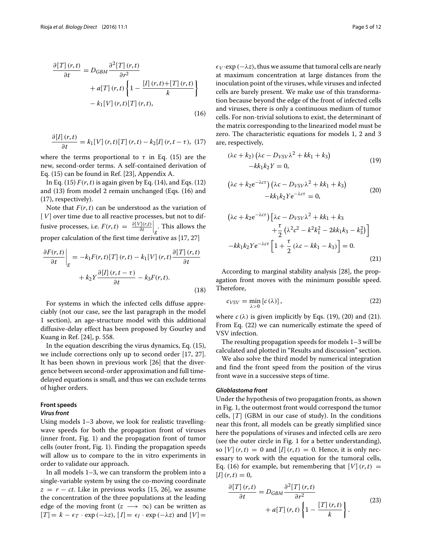$$
\frac{\partial [T](r,t)}{\partial t} = D_{GBM} \frac{\partial^2 [T](r,t)}{\partial r^2} + a[T](r,t) \left\{ 1 - \frac{[I](r,t) + [T](r,t)}{k} \right\} - k_1[V](r,t)[T](r,t),\tag{16}
$$

<span id="page-4-0"></span>
$$
\frac{\partial [I](r,t)}{\partial t} = k_1[V](r,t)[T](r,t) - k_2[I](r,t-\tau), \tag{17}
$$

where the terms proportional to  $\tau$  in Eq. [\(15\)](#page-3-5) are the new, second-order terms. A self-contained derivation of Eq. [\(15\)](#page-3-5) can be found in Ref. [\[23\]](#page-11-13), Appendix A.

In Eq.  $(15) F(r, t)$  $(15) F(r, t)$  is again given by Eq.  $(14)$ , and Eqs.  $(12)$ and [\(13\)](#page-3-7) from model 2 remain unchanged (Eqs. [\(16\)](#page-3-8) and [\(17\)](#page-4-0), respectively).

Note that  $F(r, t)$  can be understood as the variation of [*V*] over time due to all reactive processes, but not to diffusive processes, i.e.  $F(r, t) = \frac{\partial [V](r, t)}{\partial t} \Big|_{g}$ . This allows the proper calculation of the first time derivative as [\[17,](#page-11-6) [27\]](#page-11-17)

$$
\frac{\partial F(r,t)}{\partial t}\Big|_{g} = -k_{1}F(r,t)[T](r,t) - k_{1}[V](r,t)\frac{\partial [T](r,t)}{\partial t}
$$

$$
+ k_{2}Y\frac{\partial [I](r,t-\tau)}{\partial t} - k_{3}F(r,t). \tag{18}
$$

For systems in which the infected cells diffuse appreciably (not our case, see the last paragraph in the model 1 section), an age-structure model with this additional diffusive-delay effect has been proposed by Gourley and Kuang in Ref. [\[24\]](#page-11-14), p. 558.

In the equation describing the virus dynamics, Eq. [\(15\)](#page-3-5), we include corrections only up to second order [\[17,](#page-11-6) [27\]](#page-11-17). It has been shown in previous work [\[26\]](#page-11-16) that the divergence between second-order approximation and full timedelayed equations is small, and thus we can exclude terms of higher orders.

#### **Front speeds**

#### *Virus front*

Using models 1–3 above, we look for realistic travellingwave speeds for both the propagation front of viruses (inner front, Fig. [1\)](#page-2-0) and the propagation front of tumor cells (outer front, Fig. [1\)](#page-2-0). Finding the propagation speeds will allow us to compare to the in vitro experiments in order to validate our approach.

In all models 1–3, we can transform the problem into a single-variable system by using the co-moving coordinate  $z = r - ct$ . Like in previous works [\[15,](#page-11-10) [26\]](#page-11-16), we assume the concentration of the three populations at the leading edge of the moving front  $(z \rightarrow \infty)$  can be written as  $[T] = k - \epsilon_T \cdot \exp(-\lambda z), [I] = \epsilon_I \cdot \exp(-\lambda z)$  and  $[V] =$   $\epsilon_V$ ·exp ( $-\lambda z$ ), thus we assume that tumoral cells are nearly at maximum concentration at large distances from the inoculation point of the viruses, while viruses and infected cells are barely present. We make use of this transformation because beyond the edge of the front of infected cells and viruses, there is only a continuous medium of tumor cells. For non-trivial solutions to exist, the determinant of the matrix corresponding to the linearized model must be zero. The characteristic equations for models 1, 2 and 3 are, respectively,

<span id="page-4-1"></span>
$$
(\lambda c + k_2) (\lambda c - D_{VSV} \lambda^2 + kk_1 + k_3)
$$
  
-kk<sub>1</sub>k<sub>2</sub>Y = 0, (19)

<span id="page-4-2"></span>
$$
(\lambda c + k_2 e^{-\lambda c \tau}) (\lambda c - D_{VSV} \lambda^2 + k k_1 + k_3)
$$
  
-  $k k_1 k_2 Y e^{-\lambda c \tau} = 0,$  (20)

<span id="page-4-5"></span><span id="page-4-3"></span>
$$
(\lambda c + k_2 e^{-\lambda c \tau}) \left[ \lambda c - D_{VSV} \lambda^2 + k k_1 + k_3 + \frac{\tau}{2} \left( \lambda^2 c^2 - k^2 k_1^2 - 2k k_1 k_3 - k_3^2 \right) \right] - k k_1 k_2 Y e^{-\lambda c \tau} \left[ 1 + \frac{\tau}{2} \left( \lambda c - k k_1 - k_3 \right) \right] = 0.
$$
\n(21)

According to marginal stability analysis [\[28\]](#page-11-18), the propagation front moves with the minimum possible speed. Therefore,

<span id="page-4-4"></span>
$$
c_{VSV} = \min_{\lambda > 0} \left[ c \left( \lambda \right) \right],\tag{22}
$$

where  $c(\lambda)$  is given implicitly by Eqs. [\(19\)](#page-4-1), [\(20\)](#page-4-2) and [\(21\)](#page-4-3). From Eq. [\(22\)](#page-4-4) we can numerically estimate the speed of VSV infection.

The resulting propagation speeds for models 1–3 will be calculated and plotted in ["Results and discussion"](#page-6-0) section.

We also solve the third model by numerical integration and find the front speed from the position of the virus front wave in a successive steps of time.

#### *Glioblastoma front*

Under the hypothesis of two propagation fronts, as shown in Fig. [1,](#page-2-0) the outermost front would correspond the tumor cells, [*T*] (GBM in our case of study). In the conditions near this front, all models can be greatly simplified since here the populations of viruses and infected cells are zero (see the outer circle in Fig. [1](#page-2-0) for a better understanding), so  $[V](r, t) = 0$  and  $[I](r, t) = 0$ . Hence, it is only necessary to work with the equation for the tumoral cells, Eq. [\(16\)](#page-3-8) for example, but remembering that  $[V](r, t) =$  $[I](r, t) = 0,$ 

$$
\frac{\partial [T](r,t)}{\partial t} = D_{GBM} \frac{\partial^2 [T](r,t)}{\partial r^2} + a[T](r,t) \left\{ 1 - \frac{[T](r,t)}{k} \right\}.
$$
\n(23)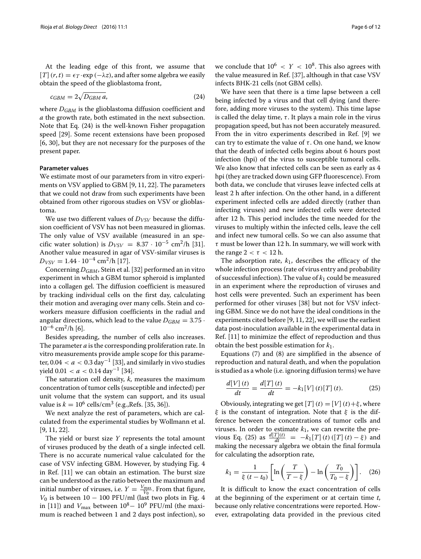At the leading edge of this front, we assume that  $[T](r, t) = \epsilon_T \cdot \exp(-\lambda z)$ , and after some algebra we easily obtain the speed of the glioblastoma front,

$$
c_{GBM} = 2\sqrt{D_{GBM} a},\tag{24}
$$

where  $D_{GBM}$  is the glioblastoma diffusion coefficient and *a* the growth rate, both estimated in the next subsection. Note that Eq. [\(24\)](#page-5-1) is the well-known Fisher propagation speed [\[29\]](#page-11-19). Some recent extensions have been proposed [\[6,](#page-10-4) [30\]](#page-11-20), but they are not necessary for the purposes of the present paper.

#### <span id="page-5-0"></span>**Parameter values**

We estimate most of our parameters from in vitro experiments on VSV applied to GBM [\[9,](#page-11-0) [11,](#page-11-2) [22\]](#page-11-12). The parameters that we could not draw from such experiments have been obtained from other rigorous studies on VSV or glioblastoma.

We use two different values of  $D_{VSV}$  because the diffusion coefficient of VSV has not been measured in gliomas. The only value of VSV available (measured in an specific water solution) is  $D_{VSV} = 8.37 \cdot 10^{-5}$  cm<sup>2</sup>/h [\[31\]](#page-11-21). Another value measured in agar of VSV-similar viruses is  $D_{VSV} = 1.44 \cdot 10^{-4}$  cm<sup>2</sup>/h [\[17\]](#page-11-6).

Concerning *DGBM*, Stein et al. [\[32\]](#page-11-22) performed an in vitro experiment in which a GBM tumor spheroid is implanted into a collagen gel. The diffusion coefficient is measured by tracking individual cells on the first day, calculating their motion and averaging over many cells. Stein and coworkers measure diffusion coefficients in the radial and angular directions, which lead to the value  $D_{GBM} = 3.75 \cdot$  $10^{-6}$  cm<sup>2</sup>/h [\[6\]](#page-10-4).

Besides spreading, the number of cells also increases. The parameter *a* is the corresponding proliferation rate. In vitro measurements provide ample scope for this parameter,  $0.04 < a < 0.3$  day<sup>-1</sup> [\[33\]](#page-11-23), and similarly in vivo studies yield  $0.01 < a < 0.14$  day<sup>-1</sup> [\[34\]](#page-11-24).

The saturation cell density, *k*, measures the maximum concentration of tumor cells (susceptible and infected) per unit volume that the system can support, and its usual value is  $k = 10^6$  cells/cm<sup>3</sup> (e.g., Refs. [\[35,](#page-11-25) [36\]](#page-11-26)).

We next analyze the rest of parameters, which are calculated from the experimental studies by Wollmann et al. [\[9,](#page-11-0) [11,](#page-11-2) [22\]](#page-11-12).

The yield or burst size *Y* represents the total amount of viruses produced by the death of a single infected cell. There is no accurate numerical value calculated for the case of VSV infecting GBM. However, by studying Fig. 4 in Ref. [\[11\]](#page-11-2) we can obtain an estimation. The burst size can be understood as the ratio between the maximum and initial number of viruses, i.e.  $Y = \frac{V_{\text{max}}}{V_0}$ . From that figure,  $V_0$  is between 10 − 100 PFU/ml (last two plots in Fig. 4 in [\[11\]](#page-11-2)) and  $V_{\text{max}}$  between  $10^8 - 10^9$  PFU/ml (the maximum is reached between 1 and 2 days post infection), so

we conclude that  $10^6 < Y < 10^8$ . This also agrees with the value measured in Ref. [\[37\]](#page-11-27), although in that case VSV infects BHK-21 cells (not GBM cells).

<span id="page-5-1"></span>We have seen that there is a time lapse between a cell being infected by a virus and that cell dying (and therefore, adding more viruses to the system). This time lapse is called the delay time,  $\tau$ . It plays a main role in the virus propagation speed, but has not been accurately measured. From the in vitro experiments described in Ref. [\[9\]](#page-11-0) we can try to estimate the value of  $\tau$ . On one hand, we know that the death of infected cells begins about 6 hours post infection (hpi) of the virus to susceptible tumoral cells. We also know that infected cells can be seen as early as 4 hpi (they are tracked down using GFP fluorescence). From both data, we conclude that viruses leave infected cells at least 2 h after infection. On the other hand, in a different experiment infected cells are added directly (rather than infecting viruses) and new infected cells were detected after 12 h. This period includes the time needed for the viruses to multiply within the infected cells, leave the cell and infect new tumoral cells. So we can also assume that  $\tau$  must be lower than 12 h. In summary, we will work with the range  $2 < \tau < 12$  h.

The adsorption rate,  $k_1$ , describes the efficacy of the whole infection process (rate of virus entry and probability of successful infection). The value of *k*<sup>1</sup> could be measured in an experiment where the reproduction of viruses and host cells were prevented. Such an experiment has been performed for other viruses [\[38\]](#page-11-28) but not for VSV infecting GBM. Since we do not have the ideal conditions in the experiments cited before [\[9,](#page-11-0) [11,](#page-11-2) [22\]](#page-11-12), we will use the earliest data post-inoculation available in the experimental data in Ref. [\[11\]](#page-11-2) to minimize the effect of reproduction and thus obtain the best possible estimation for *k*1.

Equations [\(7\)](#page-2-1) and [\(8\)](#page-2-2) are simplified in the absence of reproduction and natural death, and when the population is studied as a whole (i.e. ignoring diffusion terms) we have

<span id="page-5-2"></span>
$$
\frac{d[V](t)}{dt} = \frac{d[T](t)}{dt} = -k_1[V](t)[T](t).
$$
 (25)

Obviously, integrating we get  $[T](t) = [V](t) + \xi$ , where ξ is the constant of integration. Note that ξ is the difference between the concentrations of tumor cells and viruses. In order to estimate  $k_1$ , we can rewrite the pre-vious Eq. [\(25\)](#page-5-2) as  $\frac{d[T](t)}{dt} = -k_1[T](t) ([T](t) - \xi)$  and making the necessary algebra we obtain the final formula for calculating the adsorption rate,

$$
k_1 = \frac{1}{\xi(t - t_0)} \left[ \ln \left( \frac{T}{T - \xi} \right) - \ln \left( \frac{T_0}{T_0 - \xi} \right) \right]. \quad (26)
$$

It is difficult to know the exact concentration of cells at the beginning of the experiment or at certain time *t*, because only relative concentrations were reported. However, extrapolating data provided in the previous cited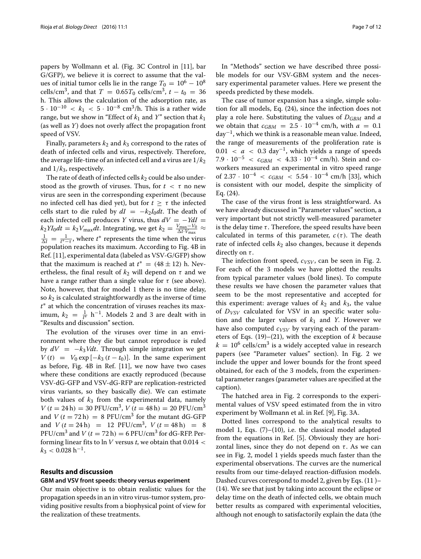papers by Wollmann et al. (Fig. 3C Control in [\[11\]](#page-11-2), bar G/GFP), we believe it is correct to assume that the values of initial tumor cells lie in the range  $T_0 = 10^6 - 10^8$ cells/cm<sup>3</sup>, and that  $T = 0.65T_0$  cells/cm<sup>3</sup>,  $t - t_0 = 36$ h. This allows the calculation of the adsorption rate, as  $5 \cdot 10^{-10}$  <  $k_1$  <  $5 \cdot 10^{-8}$  cm<sup>3</sup>/h. This is a rather wide range, but we show in ["Effect of](#page-8-0)  $k_1$  and  $Y$ " section that  $k_1$ (as well as *Y*) does not overly affect the propagation front speed of VSV.

Finally, parameters  $k_2$  and  $k_3$  correspond to the rates of death of infected cells and virus, respectively. Therefore, the average life-time of an infected cell and a virus are  $1/k<sub>2</sub>$ and 1/*k*3, respectively.

The rate of death of infected cells  $k_2$  could be also understood as the growth of viruses. Thus, for  $t < \tau$  no new virus are seen in the corresponding experiment (because no infected cell has died yet), but for  $t \geq \tau$  the infected cells start to die ruled by  $dI = -k_2I_0dt$ . The death of each infected cell produces *Y* virus, thus  $dV = -YdI$  $k_2 Y I_0 dt = k_2 V_{\text{max}} dt$ . Integrating, we get  $k_2 = \frac{V_{\text{max}} - V_0}{\Delta t \cdot V_{\text{max}}} \approx$  $\frac{1}{\Delta t} = \frac{1}{t^* - \tau}$ , where *t*<sup>\*</sup> represents the time when the virus population reaches its maximum. According to Fig. 4B in Ref. [\[11\]](#page-11-2), experimental data (labeled as VSV-G/GFP) show that the maximum is reached at  $t^* = (48 \pm 12)$  h. Nevertheless, the final result of  $k_2$  will depend on  $\tau$  and we have a range rather than a single value for  $\tau$  (see above). Note, however, that for model 1 there is no time delay, so  $k<sub>2</sub>$  is calculated straightforwardly as the inverse of time *t*∗ at which the concentration of viruses reaches its maximum,  $k_2 = \frac{1}{t^*} \; h^{-1}$ . Models 2 and 3 are dealt with in ["Results and discussion"](#page-6-0) section.

The evolution of the viruses over time in an environment where they die but cannot reproduce is ruled by  $dV = -k_3 Vdt$ . Through simple integration we get  $V(t) = V_0 \exp[-k_3(t - t_0)]$ . In the same experiment as before, Fig. 4B in Ref. [\[11\]](#page-11-2), we now have two cases where these conditions are exactly reproduced (because VSV-dG-GFP and VSV-dG-RFP are replication-restricted virus variants, so they basically die). We can estimate both values of  $k_3$  from the experimental data, namely  $V (t = 24 h) = 30$  PFU/cm<sup>3</sup>,  $V (t = 48 h) = 20$  PFU/cm<sup>3</sup> and  $V(t = 72 h) = 8$  PFU/cm<sup>3</sup> for the mutant dG-GFP and  $V (t = 24 h) = 12$  PFU/cm<sup>3</sup>,  $V (t = 48 h) = 8$  $PFU/cm<sup>3</sup>$  and  $V(t = 72 h) = 6 PFU/cm<sup>3</sup>$  for dG-RFP. Performing linear fits to ln*V* versus *t*, we obtain that 0.014 <  $k_3 < 0.028$  h<sup>-1</sup>.

#### <span id="page-6-0"></span>**Results and discussion**

#### **GBM and VSV front speeds: theory versus experiment**

Our main objective is to obtain realistic values for the propagation speeds in an in vitro virus-tumor system, providing positive results from a biophysical point of view for the realization of these treatments.

In ["Methods"](#page-2-3) section we have described three possible models for our VSV-GBM system and the necessary experimental parameter values. Here we present the speeds predicted by these models.

The case of tumor expansion has a single, simple solution for all models, Eq. [\(24\)](#page-5-1), since the infection does not play a role here. Substituting the values of *DGBM* and *a* we obtain that  $c_{GBM} = 2.5 \cdot 10^{-4}$  cm/h, with  $a = 0.1$  $day^{-1}$ , which we think is a reasonable mean value. Indeed, the range of measurements of the proliferation rate is  $0.01 < a < 0.3$  day<sup>-1</sup>, which yields a range of speeds 7.9 ·  $10^{-5}$  <  $c_{GBM}$  < 4.33 ·  $10^{-4}$  cm/h). Stein and coworkers measured an experimental in vitro speed range of  $2.37 \cdot 10^{-4}$  <  $c_{GBM}$  < 5.54 · 10<sup>-4</sup> cm/h [\[33\]](#page-11-23), which is consistent with our model, despite the simplicity of Eq. [\(24\)](#page-5-1).

The case of the virus front is less straightforward. As we have already discussed in ["Parameter values"](#page-5-0) section, a very important but not strictly well-measured parameter is the delay time  $\tau$ . Therefore, the speed results have been calculated in terms of this parameter,  $c(\tau)$ . The death rate of infected cells  $k_2$  also changes, because it depends directly on  $\tau$ .

The infection front speed,  $c_{VSV}$ , can be seen in Fig. [2.](#page-7-0) For each of the 3 models we have plotted the results from typical parameter values (bold lines). To compute these results we have chosen the parameter values that seem to be the most representative and accepted for this experiment: average values of  $k_2$  and  $k_3$ , the value of *DVSV* calculated for VSV in an specific water solution and the larger values of  $k_1$  and *Y*. However we have also computed  $c_{VSV}$  by varying each of the parameters of Eqs. [\(19\)](#page-4-1)–[\(21\)](#page-4-3), with the exception of *k* because  $k = 10^6$  cells/cm<sup>3</sup> is a widely accepted value in research papers (see ["Parameter values"](#page-5-0) section). In Fig. [2](#page-7-0) we include the upper and lower bounds for the front speed obtained, for each of the 3 models, from the experimental parameter ranges (parameter values are specified at the caption).

The hatched area in Fig. [2](#page-7-0) corresponds to the experimental values of VSV speed estimated from the in vitro experiment by Wollmann et al. in Ref. [\[9\]](#page-11-0), Fig. 3A.

Dotted lines correspond to the analytical results to model 1, Eqs. [\(7\)](#page-2-1)–[\(10\)](#page-3-1), i.e. the classical model adapted from the equations in Ref. [\[5\]](#page-10-3). Obviously they are horizontal lines, since they do not depend on  $\tau$ . As we can see in Fig. [2,](#page-7-0) model 1 yields speeds much faster than the experimental observations. The curves are the numerical results from our time-delayed reaction-diffusion models. Dashed curves correspond to model 2, given by Eqs. [\(11](#page-3-4) )– [\(14\)](#page-3-2). We see that just by taking into account the eclipse or delay time on the death of infected cells, we obtain much better results as compared with experimental velocities, although not enough to satisfactorily explain the data (the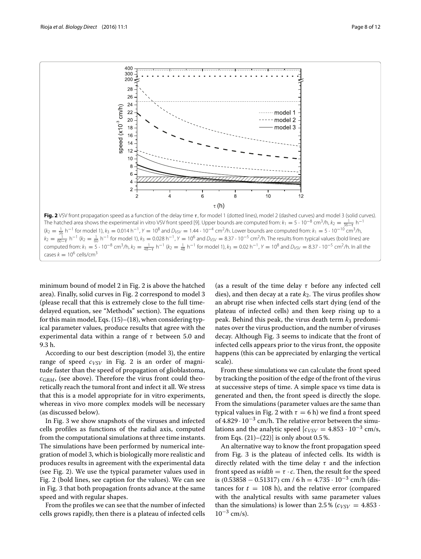

<span id="page-7-0"></span>minimum bound of model 2 in Fig. [2](#page-7-0) is above the hatched area). Finally, solid curves in Fig. [2](#page-7-0) correspond to model 3 (please recall that this is extremely close to the full timedelayed equation, see ["Methods"](#page-2-3) section). The equations for this main model, Eqs. [\(15\)](#page-3-5)–[\(18\)](#page-4-5), when considering typical parameter values, produce results that agree with the experimental data within a range of  $\tau$  between 5.0 and 9.3 h.

According to our best description (model 3), the entire range of speed  $c_{VSV}$  in Fig. [2](#page-7-0) is an order of magnitude faster than the speed of propagation of glioblastoma, *cGBM*, (see above). Therefore the virus front could theoretically reach the tumoral front and infect it all. We stress that this is a model appropriate for in vitro experiments, whereas in vivo more complex models will be necessary (as discussed below).

In Fig. [3](#page-8-1) we show snapshots of the viruses and infected cells profiles as functions of the radial axis, computed from the computational simulations at three time instants. The simulations have been performed by numerical integration of model 3, which is biologically more realistic and produces results in agreement with the experimental data (see Fig. [2\)](#page-7-0). We use the typical parameter values used in Fig. [2](#page-7-0) (bold lines, see caption for the values). We can see in Fig. [3](#page-8-1) that both propagation fronts advance at the same speed and with regular shapes.

From the profiles we can see that the number of infected cells grows rapidly, then there is a plateau of infected cells

(as a result of the time delay  $\tau$  before any infected cell dies), and then decay at a rate  $k<sub>2</sub>$ . The virus profiles show an abrupt rise when infected cells start dying (end of the plateau of infected cells) and then keep rising up to a peak. Behind this peak, the virus death term *k*<sup>3</sup> predominates over the virus production, and the number of viruses decay. Although Fig. [3](#page-8-1) seems to indicate that the front of infected cells appears prior to the virus front, the opposite happens (this can be appreciated by enlarging the vertical scale).

From these simulations we can calculate the front speed by tracking the position of the edge of the front of the virus at successive steps of time. A simple space vs time data is generated and then, the front speed is directly the slope. From the simulations (parameter values are the same than typical values in Fig. [2](#page-7-0) with  $\tau = 6$  h) we find a front speed of  $4.829 \cdot 10^{-3}$  cm/h. The relative error between the simulations and the analytic speed  $[c_{VSV} = 4.853 \cdot 10^{-3}$  cm/s, from Eqs.  $(21)–(22)$  $(21)–(22)$  $(21)–(22)$ ] is only about 0.5 %.

An alternative way to know the front propagation speed from Fig. [3](#page-8-1) is the plateau of infected cells. Its width is directly related with the time delay  $\tau$  and the infection front speed as *width* =  $\tau \cdot c$ . Then, the result for the speed is (0.53858 – 0.51317) cm / 6 h =  $4.735 \cdot 10^{-3}$  cm/h (distances for  $t = 108$  h), and the relative error (compared with the analytical results with same parameter values than the simulations) is lower than  $2.5\%$  ( $c_{VSV} = 4.853$ .  $10^{-3}$  cm/s).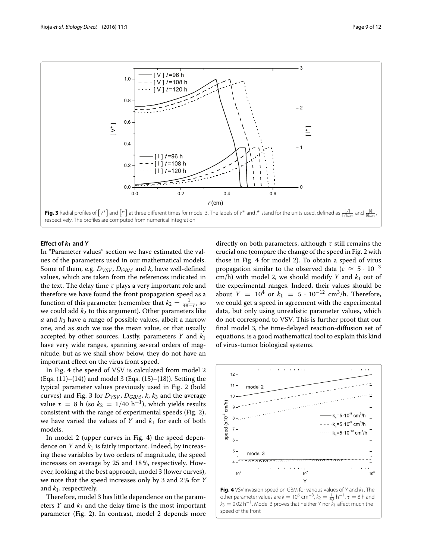

<span id="page-8-1"></span>

 $r$ (cm)

#### <span id="page-8-0"></span>**Effect of** *k***<sup>1</sup> and** *Y*

In ["Parameter values"](#page-5-0) section we have estimated the values of the parameters used in our mathematical models. Some of them, e.g.  $D_{VSV}$ ,  $D_{GBM}$  and *k*, have well-defined values, which are taken from the references indicated in the text. The delay time  $\tau$  plays a very important role and therefore we have found the front propagation speed as a function of this parameter (remember that  $k_2 = \frac{1}{48-\tau}$ , so we could add  $k_2$  to this argument). Other parameters like *a* and *k*<sup>3</sup> have a range of possible values, albeit a narrow one, and as such we use the mean value, or that usually accepted by other sources. Lastly, parameters *Y* and *k*<sup>1</sup> have very wide ranges, spanning several orders of magnitude, but as we shall show below, they do not have an important effect on the virus front speed.

In Fig. [4](#page-8-2) the speed of VSV is calculated from model 2 (Eqs.  $(11)–(14)$  $(11)–(14)$  $(11)–(14)$ ) and model 3 (Eqs.  $(15)–(18)$  $(15)–(18)$  $(15)–(18)$ ). Setting the typical parameter values previously used in Fig. [2](#page-7-0) (bold curves) and Fig. [3](#page-8-1) for  $D_{VSV}$ ,  $D_{GBM}$ , *k*,  $k_3$  and the average value  $\tau = 8$  h (so  $k_2 = 1/40$  h<sup>-1</sup>), which yields results consistent with the range of experimental speeds (Fig. [2\)](#page-7-0), we have varied the values of  $Y$  and  $k_1$  for each of both models.

In model 2 (upper curves in Fig. [4\)](#page-8-2) the speed dependence on  $Y$  and  $k_1$  is fairly important. Indeed, by increasing these variables by two orders of magnitude, the speed increases on average by 25 and 18 %, respectively. However, looking at the best approach, model 3 (lower curves), we note that the speed increases only by 3 and 2 % for *Y* and  $k_1$ , respectively.

Therefore, model 3 has little dependence on the parameters  $Y$  and  $k_1$  and the delay time is the most important parameter (Fig. [2\)](#page-7-0). In contrast, model 2 depends more directly on both parameters, although  $\tau$  still remains the crucial one (compare the change of the speed in Fig. [2](#page-7-0) with those in Fig. [4](#page-8-2) for model 2). To obtain a speed of virus propagation similar to the observed data ( $c \approx 5 \cdot 10^{-3}$ cm/h) with model 2, we should modify  $Y$  and  $k_1$  out of the experimental ranges. Indeed, their values should be about *Y* =  $10^4$  or  $k_1$  =  $5 \cdot 10^{-12}$  cm<sup>3</sup>/h. Therefore, we could get a speed in agreement with the experimental data, but only using unrealistic parameter values, which do not correspond to VSV. This is further proof that our final model 3, the time-delayed reaction-diffusion set of equations, is a good mathematical tool to explain this kind of virus-tumor biological systems.



<span id="page-8-2"></span>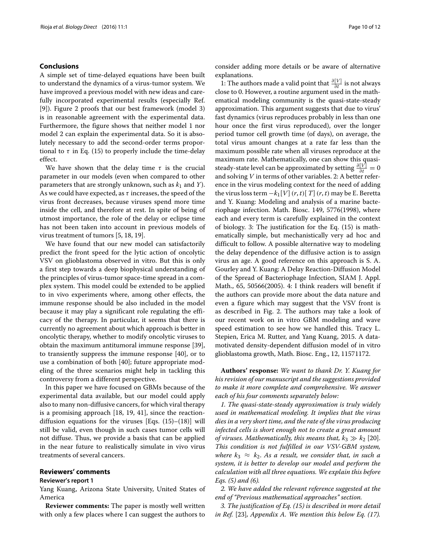#### **Conclusions**

A simple set of time-delayed equations have been built to understand the dynamics of a virus-tumor system. We have improved a previous model with new ideas and carefully incorporated experimental results (especially Ref. [\[9\]](#page-11-0)). Figure [2](#page-7-0) proofs that our best framework (model 3) is in reasonable agreement with the experimental data. Furthermore, the figure shows that neither model 1 nor model 2 can explain the experimental data. So it is absolutely necessary to add the second-order terms proportional to  $\tau$  in Eq. [\(15\)](#page-3-5) to properly include the time-delay effect.

We have shown that the delay time  $\tau$  is the crucial parameter in our models (even when compared to other parameters that are strongly unknown, such as *k*<sup>1</sup> and *Y*). As we could have expected, as  $\tau$  increases, the speed of the virus front decreases, because viruses spend more time inside the cell, and therefore at rest. In spite of being of utmost importance, the role of the delay or eclipse time has not been taken into account in previous models of virus treatment of tumors [\[5,](#page-10-3) [18,](#page-11-7) [19\]](#page-11-8).

We have found that our new model can satisfactorily predict the front speed for the lytic action of oncolytic VSV on glioblastoma observed in vitro. But this is only a first step towards a deep biophysical understanding of the principles of virus-tumor space-time spread in a complex system. This model could be extended to be applied to in vivo experiments where, among other effects, the immune response should be also included in the model because it may play a significant role regulating the efficacy of the therapy. In particular, it seems that there is currently no agreement about which approach is better in oncolytic therapy, whether to modify oncolytic viruses to obtain the maximum antitumoral immune response [\[39\]](#page-11-29), to transiently suppress the immune response [\[40\]](#page-11-30), or to use a combination of both [\[40\]](#page-11-30); future appropriate modeling of the three scenarios might help in tackling this controversy from a different perspective.

In this paper we have focused on GBMs because of the experimental data available, but our model could apply also to many non-diffusive cancers, for which viral therapy is a promising approach [\[18,](#page-11-7) [19,](#page-11-8) [41\]](#page-11-31), since the reactiondiffusion equations for the viruses  $[Eqs. (15)–(18)]$  $[Eqs. (15)–(18)]$  $[Eqs. (15)–(18)]$  $[Eqs. (15)–(18)]$  $[Eqs. (15)–(18)]$  will still be valid, even though in such cases tumor cells will not diffuse. Thus, we provide a basis that can be applied in the near future to realistically simulate in vivo virus treatments of several cancers.

# **Reviewers' comments**

#### **Reviewer's report 1**

Yang Kuang, Arizona State University, United States of America

**Reviewer comments:** The paper is mostly well written with only a few places where I can suggest the authors to

consider adding more details or be aware of alternative explanations.

1: The authors made a valid point that <sup>∂</sup>[*V*] <sup>∂</sup>*<sup>t</sup>* is not always close to 0. However, a routine argument used in the mathematical modeling community is the quasi-state-steady approximation. This argument suggests that due to virus' fast dynamics (virus reproduces probably in less than one hour once the first virus reproduced), over the longer period tumor cell growth time (of days), on average, the total virus amount changes at a rate far less than the maximum possible rate when all viruses reproduce at the maximum rate. Mathematically, one can show this quasisteady-state level can be approximated by setting  $\frac{\partial [V]}{\partial t} = 0$ and solving *V* in terms of other variables. 2: A better reference in the virus modeling context for the need of adding the virus loss term  $-k_1[V](r,t)[T](r,t)$  may be E. Beretta and Y. Kuang: Modeling and analysis of a marine bacteriophage infection. Math. Biosc. 149, 5776(1998), where each and every term is carefully explained in the context of biology. 3: The justification for the Eq. [\(15\)](#page-3-5) is mathematically simple, but mechanistically very ad hoc and difficult to follow. A possible alternative way to modeling the delay dependence of the diffusive action is to assign virus an age. A good reference on this approach is S. A. Gourley and Y. Kuang: A Delay Reaction-Diffusion Model of the Spread of Bacteriophage Infection, SIAM J. Appl. Math., 65, 50566(2005). 4: I think readers will benefit if the authors can provide more about the data nature and even a figure which may suggest that the VSV front is as described in Fig. [2.](#page-7-0) The authors may take a look of our recent work on in vitro GBM modeling and wave speed estimation to see how we handled this. Tracy L. Stepien, Erica M. Rutter, and Yang Kuang, 2015. A datamotivated density-dependent diffusion model of in vitro glioblastoma growth, Math. Biosc. Eng., 12, 11571172.

**Authors' response:** *We want to thank Dr. Y. Kuang for his revision of our manuscript and the suggestions provided to make it more complete and comprehensive. We answer each of his four comments separately below:*

*1. The quasi-state-steady approximation is truly widely used in mathematical modeling. It implies that the virus dies in a very short time, and the rate of the virus producing infected cells is short enough not to create a great amount of viruses. Mathematically, this means that,*  $k_3 \gg k_2$  [\[20\]](#page-11-9). *This condition is not fulfilled in our VSV-GBM system, where*  $k_3 \approx k_2$ . As a result, we consider that, in such a *system, it is better to develop our model and perform the calculation with all three equations. We explain this before Eqs. [\(5\)](#page-1-0) and [\(6\)](#page-1-1).*

*2. We have added the relevant reference suggested at the end of ["Previous mathematical approaches"](#page-1-6) section.*

*3. The justification of Eq. [\(15\)](#page-3-5) is described in more detail in Ref.* [\[23\]](#page-11-13)*, Appendix A. We mention this below Eq. [\(17\)](#page-4-0).*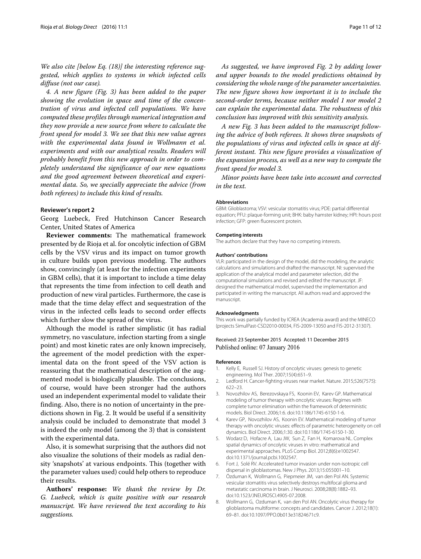*We also cite [below Eq. [\(18\)](#page-4-5)] the interesting reference suggested, which applies to systems in which infected cells diffuse (not our case).*

*4. A new figure (Fig. [3\)](#page-8-1) has been added to the paper showing the evolution in space and time of the concentration of virus and infected cell populations. We have computed these profiles through numerical integration and they now provide a new source from where to calculate the front speed for model 3. We see that this new value agrees with the experimental data found in Wollmann et al. experiments and with our analytical results. Readers will probably benefit from this new approach in order to completely understand the significance of our new equations and the good agreement between theoretical and experimental data. So, we specially appreciate the advice (from both referees) to include this kind of results.*

#### **Reviewer's report 2**

Georg Luebeck, Fred Hutchinson Cancer Research Center, United States of America

**Reviewer comments:** The mathematical framework presented by de Rioja et al. for oncolytic infection of GBM cells by the VSV virus and its impact on tumor growth in culture builds upon previous modeling. The authors show, convincingly (at least for the infection experiments in GBM cells), that it is important to include a time delay that represents the time from infection to cell death and production of new viral particles. Furthermore, the case is made that the time delay effect and sequestration of the virus in the infected cells leads to second order effects which further slow the spread of the virus.

Although the model is rather simplistic (it has radial symmetry, no vasculature, infection starting from a single point) and most kinetic rates are only known imprecisely, the agreement of the model prediction with the experimental data on the front speed of the VSV action is reassuring that the mathematical description of the augmented model is biologically plausible. The conclusions, of course, would have been stronger had the authors used an independent experimental model to validate their finding. Also, there is no notion of uncertainty in the predictions shown in Fig. [2.](#page-7-0) It would be useful if a sensitivity analysis could be included to demonstrate that model 3 is indeed the only model (among the 3) that is consistent with the experimental data.

Also, it is somewhat surprising that the authors did not also visualize the solutions of their models as radial density 'snapshots' at various endpoints. This (together with the parameter values used) could help others to reproduce their results.

**Authors' response:** *We thank the review by Dr. G. Luebeck, which is quite positive with our research manuscript. We have reviewed the text according to his suggestions.*

*As suggested, we have improved Fig. [2](#page-7-0) by adding lower and upper bounds to the model predictions obtained by considering the whole range of the parameter uncertainties. The new figure shows how important it is to include the second-order terms, because neither model 1 nor model 2 can explain the experimental data. The robustness of this conclusion has improved with this sensitivity analysis.*

*A new Fig. [3](#page-8-1) has been added to the manuscript following the advice of both referees. It shows three snapshots of the populations of virus and infected cells in space at different instant. This new figure provides a visualization of the expansion process, as well as a new way to compute the front speed for model 3.*

*Minor points have been take into account and corrected in the text.*

#### **Abbreviations**

GBM: Glioblastoma; VSV: vesicular stomatitis virus; PDE: partial differential equation; PFU: plaque-forming unit; BHK: baby hamster kidney; HPI: hours post infection; GFP: green fluorescent protein.

#### **Competing interests**

The authors declare that they have no competing interests.

#### **Authors' contributions**

VLR: participated in the design of the model, did the modeling, the analytic calculations and simulations and drafted the manuscript. NI: supervised the application of the analytical model and parameter selection, did the computational simulations and revised and edited the manuscript. JF: designed the mathematical model, supervised the implementation and participated in writing the manuscript. All authors read and approved the manuscript.

#### **Acknowledgments**

This work was partially funded by ICREA (Academia award) and the MINECO (projects SimulPast-CSD2010-00034, FIS-2009-13050 and FIS-2012-31307).

#### Received: 23 September 2015 Accepted: 11 December 2015 Published online: 07 January 2016

#### **References**

- <span id="page-10-0"></span>Kelly E, Russell SJ. History of oncolytic viruses: genesis to genetic engineering. Mol Ther. 2007;15(4):651–9.
- <span id="page-10-1"></span>2. Ledford H. Cancer-fighting viruses near market. Nature. 2015;526(7575): 622–23.
- <span id="page-10-2"></span>3. Novozhilov AS, Berezovskaya FS, Koonin EV, Karev GP. Mathematical modeling of tumor therapy with oncolytic viruses: Regimes with complete tumor elimination within the framework of deterministic models. Biol Direct. 2006;1:6. doi[:10.1186/1745-6150-1-6.](http://dx.doi.org/10.1186/1745-6150-1-6)
- 4. Karev GP, Novozhilov AS, Koonin EV. Mathematical modeling of tumor therapy with oncolytic viruses: effects of parametric heterogeneity on cell dynamics. Biol Direct. 2006;1:30. do[i:10.1186/1745-6150-1-30.](http://dx.doi.org/10.1186/1745-6150-1-30)
- <span id="page-10-3"></span>5. Wodarz D, Hofacre A, Lau JW, Sun Z, Fan H, Komarova NL. Complex spatial dynamics of oncolytic viruses in vitro: mathematical and experimental approaches. PLoS Comp Biol. 2012;8(6):e1002547. doi[:10.1371/journal.pcbi.1002547.](http://dx.doi.org/10.1371/journal.pcbi.1002547)
- <span id="page-10-4"></span>6. Fort J, Solé RV. Accelerated tumor invasion under non-isotropic cell dispersal in glioblastomas. New J Phys. 2013;15:055001–10.
- <span id="page-10-5"></span>7. Özduman K, Wollmann G, Piepmeier JM, van den Pol AN. Systemic vesicular stomatitis virus selectively destroys multifocal glioma and metastatic carcinoma in brain. J Neurosci. 2008;28(8):1882–93. doi[:10.1523/JNEUROSCI.4905-07.2008.](http://dx.doi.org/10.1523/JNEUROSCI.4905-07.2008)
- <span id="page-10-6"></span>8. Wollmann G, Ozduman K, van den Pol AN. Oncolytic virus therapy for glioblastoma multiforme: concepts and candidates. Cancer J. 2012;18(1): 69–81. doi[:10.1097/PPO.0b013e31824671c9.](http://dx.doi.org/10.1097/PPO.0b013e31824671c9)